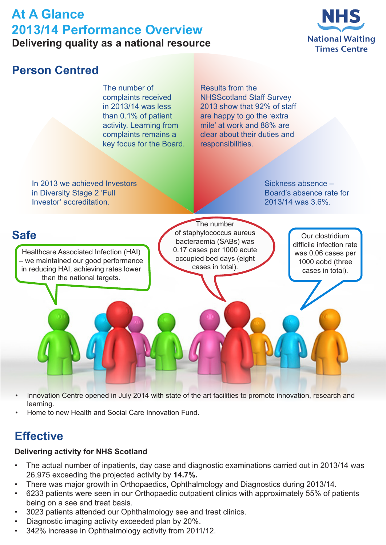# **At A Glance 2013/14 Performance Overview Delivering quality as a national resource**



### **Person Centred** Results from the NHSScotland Staff Survey 2013 show that 92% of staff are happy to go the 'extra mile' at work and 88% are clear about their duties and responsibilities. In 2013 we achieved Investors in Diversity Stage 2 'Full Investor' accreditation. The number of complaints received in 2013/14 was less than 0.1% of patient activity. Learning from complaints remains a key focus for the Board. Sickness absence – Healthcare Associated Infection (HAI) – we maintained our good performance in reducing HAI, achieving rates lower than the national targets. The number of staphylococcus aureus bacteraemia (SABs) was 0.17 cases per 1000 acute occupied bed days (eight cases in total).

Board's absence rate for 2013/14 was 3.6%.

## **Safe**

Our clostridium difficile infection rate was 0.06 cases per 1000 aobd (three cases in total).

- Innovation Centre opened in July 2014 with state of the art facilities to promote innovation, research and learning.
- Home to new Health and Social Care Innovation Fund.

# **Effective**

### **Delivering activity for NHS Scotland**

- The actual number of inpatients, day case and diagnostic examinations carried out in 2013/14 was 26,975 exceeding the projected activity by **14.7%.**
- There was major growth in Orthopaedics, Ophthalmology and Diagnostics during 2013/14.
- 6233 patients were seen in our Orthopaedic outpatient clinics with approximately 55% of patients being on a see and treat basis.
- 3023 patients attended our Ophthalmology see and treat clinics.
- Diagnostic imaging activity exceeded plan by 20%.
- 342% increase in Ophthalmology activity from 2011/12.